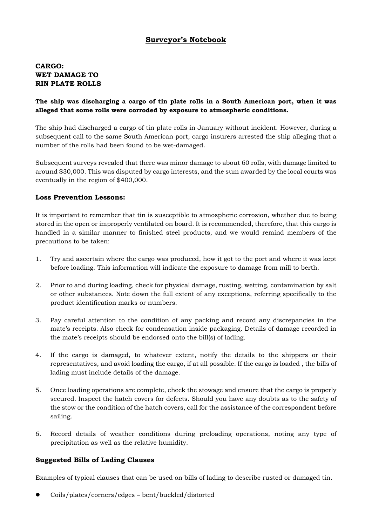# **Surveyor's Notebook**

## **CARGO: WET DAMAGE TO RIN PLATE ROLLS**

#### **The ship was discharging a cargo of tin plate rolls in a South American port, when it was alleged that some rolls were corroded by exposure to atmospheric conditions.**

The ship had discharged a cargo of tin plate rolls in January without incident. However, during a subsequent call to the same South American port, cargo insurers arrested the ship alleging that a number of the rolls had been found to be wet-damaged.

Subsequent surveys revealed that there was minor damage to about 60 rolls, with damage limited to around \$30,000. This was disputed by cargo interests, and the sum awarded by the local courts was eventually in the region of \$400,000.

#### **Loss Prevention Lessons:**

It is important to remember that tin is susceptible to atmospheric corrosion, whether due to being stored in the open or improperly ventilated on board. It is recommended, therefore, that this cargo is handled in a similar manner to finished steel products, and we would remind members of the precautions to be taken:

- 1. Try and ascertain where the cargo was produced, how it got to the port and where it was kept before loading. This information will indicate the exposure to damage from mill to berth.
- 2. Prior to and during loading, check for physical damage, rusting, wetting, contamination by salt or other substances. Note down the full extent of any exceptions, referring specifically to the product identification marks or numbers.
- 3. Pay careful attention to the condition of any packing and record any discrepancies in the mate's receipts. Also check for condensation inside packaging. Details of damage recorded in the mate's receipts should be endorsed onto the bill(s) of lading.
- 4. If the cargo is damaged, to whatever extent, notify the details to the shippers or their representatives, and avoid loading the cargo, if at all possible. If the cargo is loaded , the bills of lading must include details of the damage.
- 5. Once loading operations are complete, check the stowage and ensure that the cargo is properly secured. Inspect the hatch covers for defects. Should you have any doubts as to the safety of the stow or the condition of the hatch covers, call for the assistance of the correspondent before sailing.
- 6. Record details of weather conditions during preloading operations, noting any type of precipitation as well as the relative humidity.

### **Suggested Bills of Lading Clauses**

Examples of typical clauses that can be used on bills of lading to describe rusted or damaged tin.

z Coils/plates/corners/edges – bent/buckled/distorted